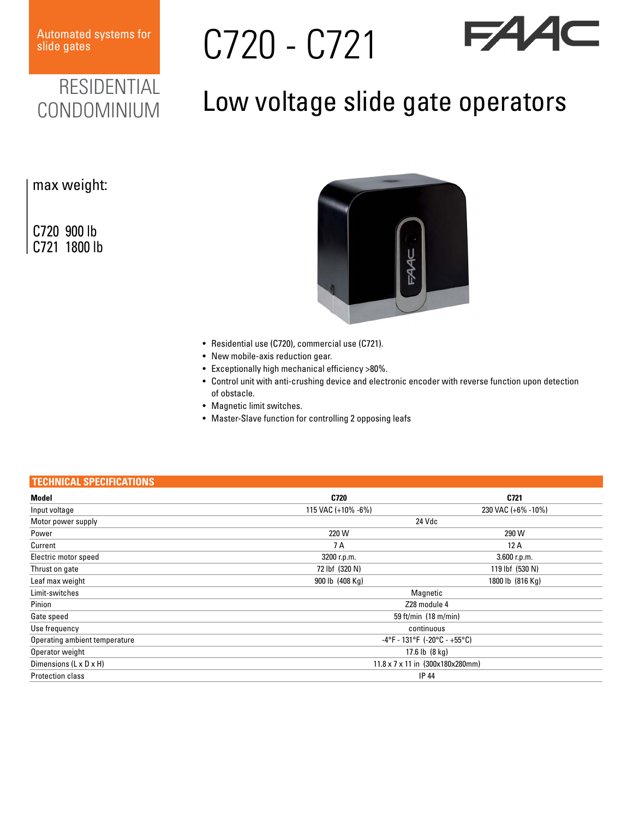Automated systems for

Automated systems for<br>slide gates **C720** - C721



## RESIDENTIAL CONDOMINIUM

## Low voltage slide gate operators

## max weight:

C720 900 lb C721 1800 lb



- Residential use (C720), commercial use (C721).
- New mobile-axis reduction gear.
- Exceptionally high mechanical efficiency >80%.
- Control unit with anti-crushing device and electronic encoder with reverse function upon detection of obstacle.
- Magnetic limit switches.
- Master-Slave function for controlling 2 opposing leafs

## **TECHNICAL SPECIFICATIONS**

| Model                         | C720                             | C721               |
|-------------------------------|----------------------------------|--------------------|
| Input voltage                 | 115 VAC (+10% -6%)               | 230 VAC (+6% -10%) |
| Motor power supply            | 24 Vdc                           |                    |
| Power                         | 220 W                            | 290 W              |
| Current                       | 7 A                              | 12A                |
| Electric motor speed          | 3200 r.p.m.                      | 3.600 r.p.m.       |
| Thrust on gate                | 72 lbf (320 N)                   | 119 lbf (530 N)    |
| Leaf max weight               | 900 lb (408 Kg)                  | 1800 lb (816 Kg)   |
| Limit-switches                | Magnetic                         |                    |
| Pinion                        | Z28 module 4                     |                    |
| Gate speed                    | 59 ft/min $(18 \text{ m/min})$   |                    |
| Use frequency                 | continuous                       |                    |
| Operating ambient temperature | $-4$ °F - 131°F (-20°C - +55°C)  |                    |
| Operator weight               | 17.6 lb $(8 \text{ kg})$         |                    |
| Dimensions (L x D x H)        | 11.8 x 7 x 11 in (300x180x280mm) |                    |
| <b>Protection class</b>       | <b>IP 44</b>                     |                    |